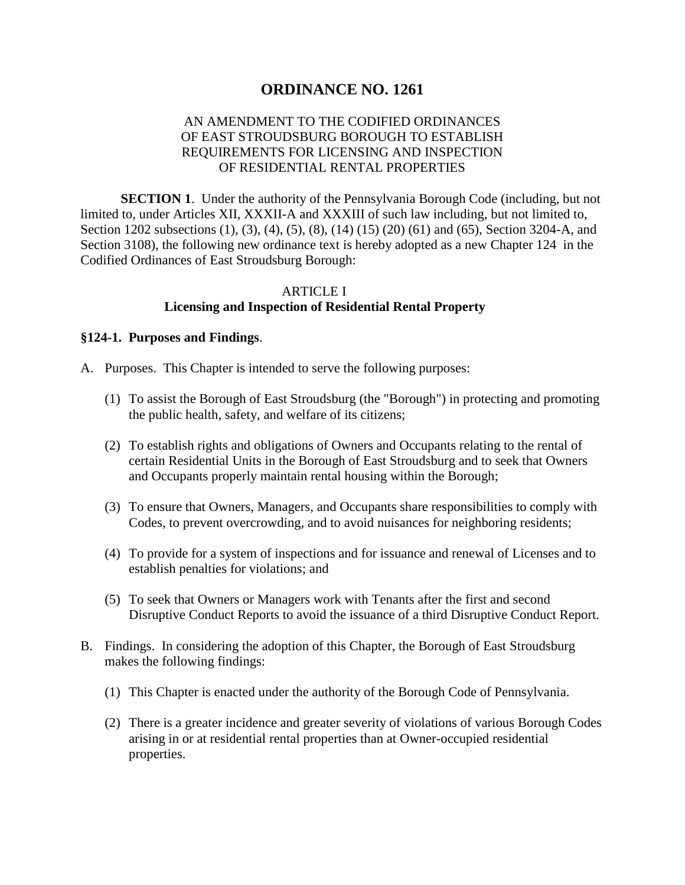# **ORDINANCE NO. 1261**

# AN AMENDMENT TO THE CODIFIED ORDINANCES OF EAST STROUDSBURG BOROUGH TO ESTABLISH REQUIREMENTS FOR LICENSING AND INSPECTION OF RESIDENTIAL RENTAL PROPERTIES

**SECTION 1.** Under the authority of the Pennsylvania Borough Code (including, but not limited to, under Articles XII, XXXII-A and XXXIII of such law including, but not limited to, Section 1202 subsections (1), (3), (4), (5), (8), (14) (15) (20) (61) and (65), Section 3204-A, and Section 3108), the following new ordinance text is hereby adopted as a new Chapter 124 in the Codified Ordinances of East Stroudsburg Borough:

# ARTICLE I **Licensing and Inspection of Residential Rental Property**

#### **§124-1. Purposes and Findings**.

- A. Purposes. This Chapter is intended to serve the following purposes:
	- (1) To assist the Borough of East Stroudsburg (the "Borough") in protecting and promoting the public health, safety, and welfare of its citizens;
	- (2) To establish rights and obligations of Owners and Occupants relating to the rental of certain Residential Units in the Borough of East Stroudsburg and to seek that Owners and Occupants properly maintain rental housing within the Borough;
	- (3) To ensure that Owners, Managers, and Occupants share responsibilities to comply with Codes, to prevent overcrowding, and to avoid nuisances for neighboring residents;
	- (4) To provide for a system of inspections and for issuance and renewal of Licenses and to establish penalties for violations; and
	- (5) To seek that Owners or Managers work with Tenants after the first and second Disruptive Conduct Reports to avoid the issuance of a third Disruptive Conduct Report.
- B. Findings. In considering the adoption of this Chapter, the Borough of East Stroudsburg makes the following findings:
	- (1) This Chapter is enacted under the authority of the Borough Code of Pennsylvania.
	- (2) There is a greater incidence and greater severity of violations of various Borough Codes arising in or at residential rental properties than at Owner-occupied residential properties.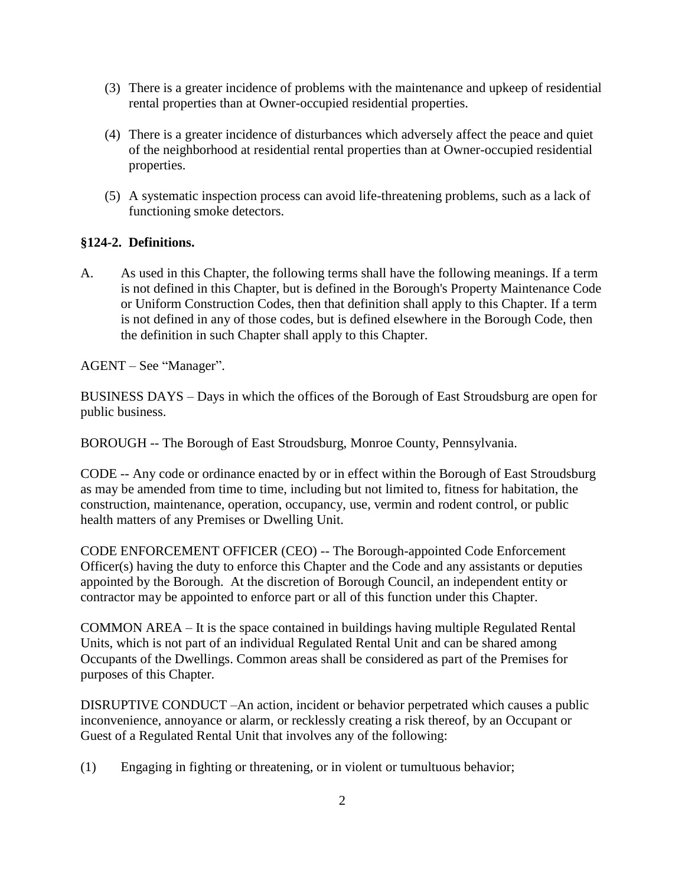- (3) There is a greater incidence of problems with the maintenance and upkeep of residential rental properties than at Owner-occupied residential properties.
- (4) There is a greater incidence of disturbances which adversely affect the peace and quiet of the neighborhood at residential rental properties than at Owner-occupied residential properties.
- (5) A systematic inspection process can avoid life-threatening problems, such as a lack of functioning smoke detectors.

# **§124-2. Definitions.**

A. As used in this Chapter, the following terms shall have the following meanings. If a term is not defined in this Chapter, but is defined in the Borough's Property Maintenance Code or Uniform Construction Codes, then that definition shall apply to this Chapter. If a term is not defined in any of those codes, but is defined elsewhere in the Borough Code, then the definition in such Chapter shall apply to this Chapter.

AGENT – See "Manager".

BUSINESS DAYS – Days in which the offices of the Borough of East Stroudsburg are open for public business.

BOROUGH -- The Borough of East Stroudsburg, Monroe County, Pennsylvania.

CODE -- Any code or ordinance enacted by or in effect within the Borough of East Stroudsburg as may be amended from time to time, including but not limited to, fitness for habitation, the construction, maintenance, operation, occupancy, use, vermin and rodent control, or public health matters of any Premises or Dwelling Unit.

CODE ENFORCEMENT OFFICER (CEO) -- The Borough-appointed Code Enforcement Officer(s) having the duty to enforce this Chapter and the Code and any assistants or deputies appointed by the Borough. At the discretion of Borough Council, an independent entity or contractor may be appointed to enforce part or all of this function under this Chapter.

COMMON AREA – It is the space contained in buildings having multiple Regulated Rental Units, which is not part of an individual Regulated Rental Unit and can be shared among Occupants of the Dwellings. Common areas shall be considered as part of the Premises for purposes of this Chapter.

DISRUPTIVE CONDUCT –An action, incident or behavior perpetrated which causes a public inconvenience, annoyance or alarm, or recklessly creating a risk thereof, by an Occupant or Guest of a Regulated Rental Unit that involves any of the following:

(1) Engaging in fighting or threatening, or in violent or tumultuous behavior;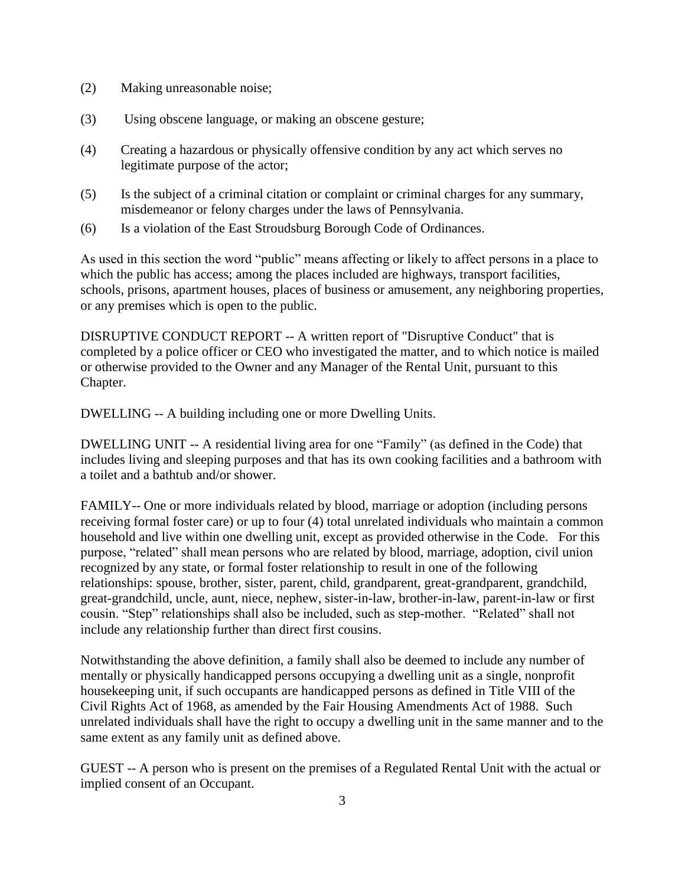- (2) Making unreasonable noise;
- (3) Using obscene language, or making an obscene gesture;
- (4) Creating a hazardous or physically offensive condition by any act which serves no legitimate purpose of the actor;
- (5) Is the subject of a criminal citation or complaint or criminal charges for any summary, misdemeanor or felony charges under the laws of Pennsylvania.
- (6) Is a violation of the East Stroudsburg Borough Code of Ordinances.

As used in this section the word "public" means affecting or likely to affect persons in a place to which the public has access; among the places included are highways, transport facilities, schools, prisons, apartment houses, places of business or amusement, any neighboring properties, or any premises which is open to the public.

DISRUPTIVE CONDUCT REPORT -- A written report of "Disruptive Conduct" that is completed by a police officer or CEO who investigated the matter, and to which notice is mailed or otherwise provided to the Owner and any Manager of the Rental Unit, pursuant to this Chapter.

DWELLING -- A building including one or more Dwelling Units.

DWELLING UNIT -- A residential living area for one "Family" (as defined in the Code) that includes living and sleeping purposes and that has its own cooking facilities and a bathroom with a toilet and a bathtub and/or shower.

FAMILY-- One or more individuals related by blood, marriage or adoption (including persons receiving formal foster care) or up to four (4) total unrelated individuals who maintain a common household and live within one dwelling unit, except as provided otherwise in the Code. For this purpose, "related" shall mean persons who are related by blood, marriage, adoption, civil union recognized by any state, or formal foster relationship to result in one of the following relationships: spouse, brother, sister, parent, child, grandparent, great-grandparent, grandchild, great-grandchild, uncle, aunt, niece, nephew, sister-in-law, brother-in-law, parent-in-law or first cousin. "Step" relationships shall also be included, such as step-mother. "Related" shall not include any relationship further than direct first cousins.

Notwithstanding the above definition, a family shall also be deemed to include any number of mentally or physically handicapped persons occupying a dwelling unit as a single, nonprofit housekeeping unit, if such occupants are handicapped persons as defined in Title VIII of the Civil Rights Act of 1968, as amended by the Fair Housing Amendments Act of 1988. Such unrelated individuals shall have the right to occupy a dwelling unit in the same manner and to the same extent as any family unit as defined above.

GUEST -- A person who is present on the premises of a Regulated Rental Unit with the actual or implied consent of an Occupant.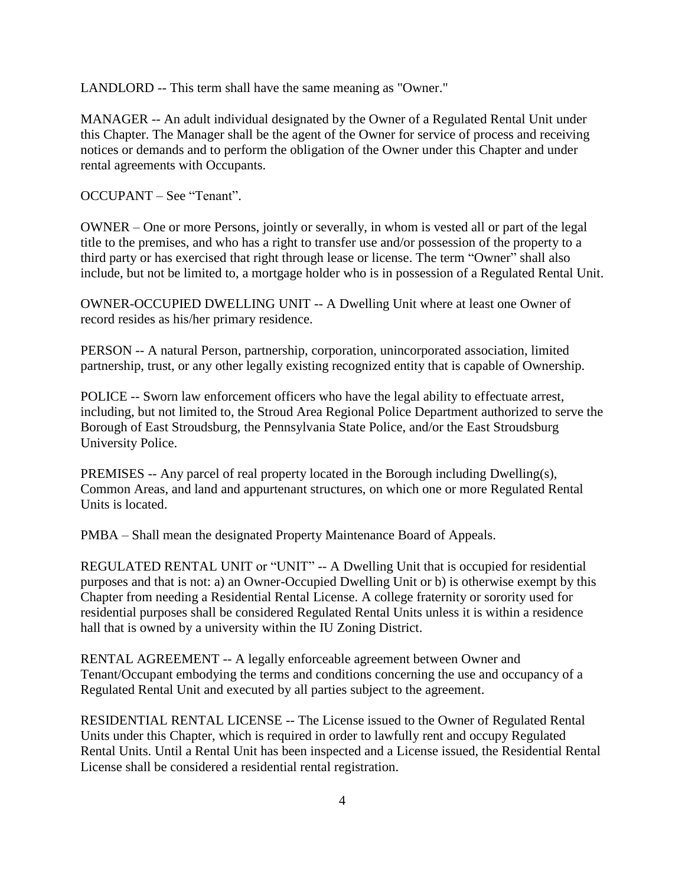LANDLORD -- This term shall have the same meaning as "Owner."

MANAGER -- An adult individual designated by the Owner of a Regulated Rental Unit under this Chapter. The Manager shall be the agent of the Owner for service of process and receiving notices or demands and to perform the obligation of the Owner under this Chapter and under rental agreements with Occupants.

OCCUPANT – See "Tenant".

OWNER – One or more Persons, jointly or severally, in whom is vested all or part of the legal title to the premises, and who has a right to transfer use and/or possession of the property to a third party or has exercised that right through lease or license. The term "Owner" shall also include, but not be limited to, a mortgage holder who is in possession of a Regulated Rental Unit.

OWNER-OCCUPIED DWELLING UNIT -- A Dwelling Unit where at least one Owner of record resides as his/her primary residence.

PERSON -- A natural Person, partnership, corporation, unincorporated association, limited partnership, trust, or any other legally existing recognized entity that is capable of Ownership.

POLICE -- Sworn law enforcement officers who have the legal ability to effectuate arrest, including, but not limited to, the Stroud Area Regional Police Department authorized to serve the Borough of East Stroudsburg, the Pennsylvania State Police, and/or the East Stroudsburg University Police.

PREMISES -- Any parcel of real property located in the Borough including Dwelling(s), Common Areas, and land and appurtenant structures, on which one or more Regulated Rental Units is located.

PMBA – Shall mean the designated Property Maintenance Board of Appeals.

REGULATED RENTAL UNIT or "UNIT" -- A Dwelling Unit that is occupied for residential purposes and that is not: a) an Owner-Occupied Dwelling Unit or b) is otherwise exempt by this Chapter from needing a Residential Rental License. A college fraternity or sorority used for residential purposes shall be considered Regulated Rental Units unless it is within a residence hall that is owned by a university within the IU Zoning District.

RENTAL AGREEMENT -- A legally enforceable agreement between Owner and Tenant/Occupant embodying the terms and conditions concerning the use and occupancy of a Regulated Rental Unit and executed by all parties subject to the agreement.

RESIDENTIAL RENTAL LICENSE -- The License issued to the Owner of Regulated Rental Units under this Chapter, which is required in order to lawfully rent and occupy Regulated Rental Units. Until a Rental Unit has been inspected and a License issued, the Residential Rental License shall be considered a residential rental registration.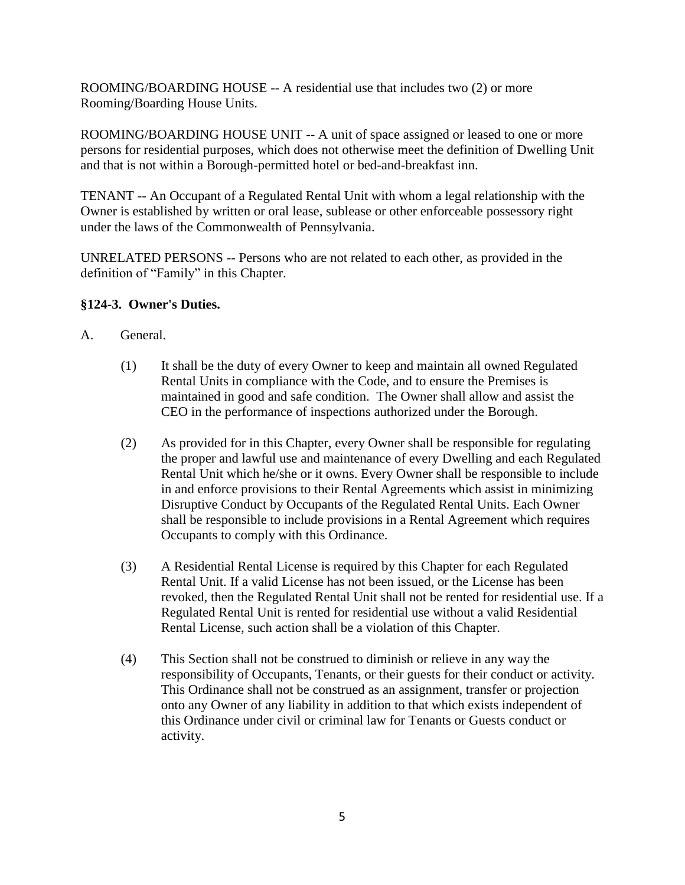ROOMING/BOARDING HOUSE -- A residential use that includes two (2) or more Rooming/Boarding House Units.

ROOMING/BOARDING HOUSE UNIT -- A unit of space assigned or leased to one or more persons for residential purposes, which does not otherwise meet the definition of Dwelling Unit and that is not within a Borough-permitted hotel or bed-and-breakfast inn.

TENANT -- An Occupant of a Regulated Rental Unit with whom a legal relationship with the Owner is established by written or oral lease, sublease or other enforceable possessory right under the laws of the Commonwealth of Pennsylvania.

UNRELATED PERSONS -- Persons who are not related to each other, as provided in the definition of "Family" in this Chapter.

# **§124-3. Owner's Duties.**

- A. General.
	- (1) It shall be the duty of every Owner to keep and maintain all owned Regulated Rental Units in compliance with the Code, and to ensure the Premises is maintained in good and safe condition. The Owner shall allow and assist the CEO in the performance of inspections authorized under the Borough.
	- (2) As provided for in this Chapter, every Owner shall be responsible for regulating the proper and lawful use and maintenance of every Dwelling and each Regulated Rental Unit which he/she or it owns. Every Owner shall be responsible to include in and enforce provisions to their Rental Agreements which assist in minimizing Disruptive Conduct by Occupants of the Regulated Rental Units. Each Owner shall be responsible to include provisions in a Rental Agreement which requires Occupants to comply with this Ordinance.
	- (3) A Residential Rental License is required by this Chapter for each Regulated Rental Unit. If a valid License has not been issued, or the License has been revoked, then the Regulated Rental Unit shall not be rented for residential use. If a Regulated Rental Unit is rented for residential use without a valid Residential Rental License, such action shall be a violation of this Chapter.
	- (4) This Section shall not be construed to diminish or relieve in any way the responsibility of Occupants, Tenants, or their guests for their conduct or activity. This Ordinance shall not be construed as an assignment, transfer or projection onto any Owner of any liability in addition to that which exists independent of this Ordinance under civil or criminal law for Tenants or Guests conduct or activity.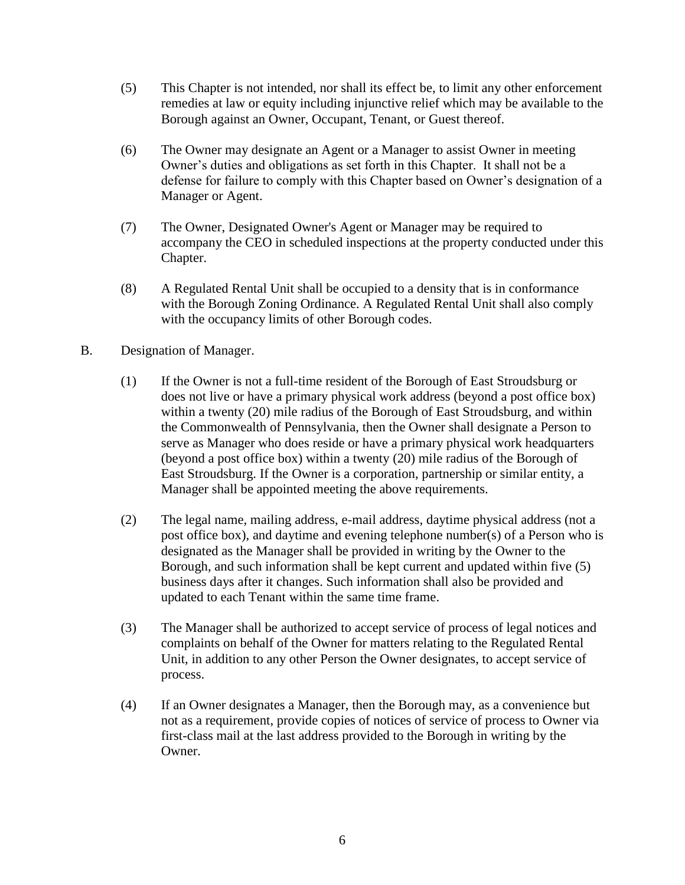- (5) This Chapter is not intended, nor shall its effect be, to limit any other enforcement remedies at law or equity including injunctive relief which may be available to the Borough against an Owner, Occupant, Tenant, or Guest thereof.
- (6) The Owner may designate an Agent or a Manager to assist Owner in meeting Owner's duties and obligations as set forth in this Chapter. It shall not be a defense for failure to comply with this Chapter based on Owner's designation of a Manager or Agent.
- (7) The Owner, Designated Owner's Agent or Manager may be required to accompany the CEO in scheduled inspections at the property conducted under this Chapter.
- (8) A Regulated Rental Unit shall be occupied to a density that is in conformance with the Borough Zoning Ordinance. A Regulated Rental Unit shall also comply with the occupancy limits of other Borough codes.
- B. Designation of Manager.
	- (1) If the Owner is not a full-time resident of the Borough of East Stroudsburg or does not live or have a primary physical work address (beyond a post office box) within a twenty (20) mile radius of the Borough of East Stroudsburg, and within the Commonwealth of Pennsylvania, then the Owner shall designate a Person to serve as Manager who does reside or have a primary physical work headquarters (beyond a post office box) within a twenty (20) mile radius of the Borough of East Stroudsburg. If the Owner is a corporation, partnership or similar entity, a Manager shall be appointed meeting the above requirements.
	- (2) The legal name, mailing address, e-mail address, daytime physical address (not a post office box), and daytime and evening telephone number(s) of a Person who is designated as the Manager shall be provided in writing by the Owner to the Borough, and such information shall be kept current and updated within five (5) business days after it changes. Such information shall also be provided and updated to each Tenant within the same time frame.
	- (3) The Manager shall be authorized to accept service of process of legal notices and complaints on behalf of the Owner for matters relating to the Regulated Rental Unit, in addition to any other Person the Owner designates, to accept service of process.
	- (4) If an Owner designates a Manager, then the Borough may, as a convenience but not as a requirement, provide copies of notices of service of process to Owner via first-class mail at the last address provided to the Borough in writing by the Owner.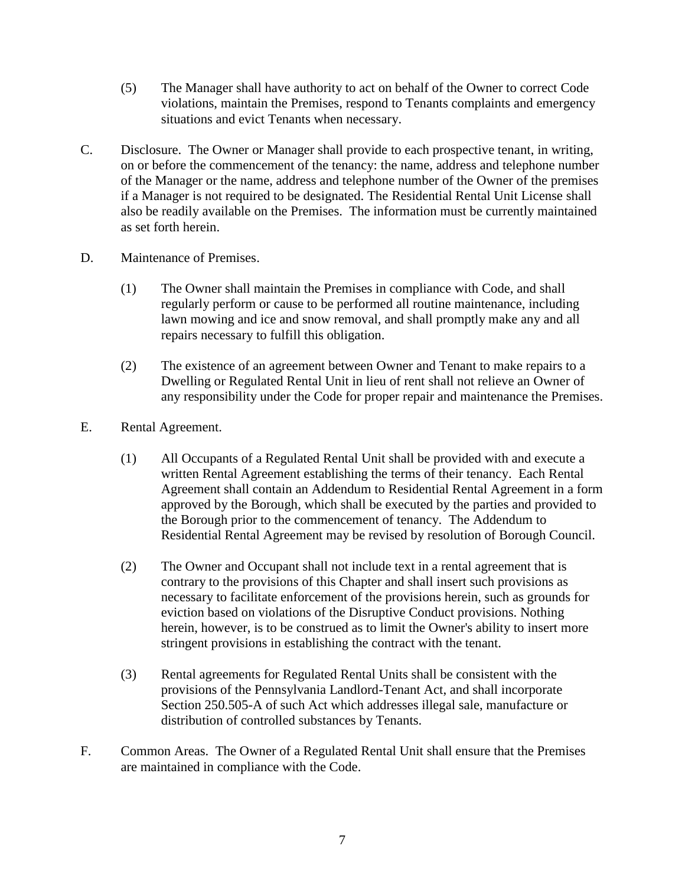- (5) The Manager shall have authority to act on behalf of the Owner to correct Code violations, maintain the Premises, respond to Tenants complaints and emergency situations and evict Tenants when necessary.
- C. Disclosure. The Owner or Manager shall provide to each prospective tenant, in writing, on or before the commencement of the tenancy: the name, address and telephone number of the Manager or the name, address and telephone number of the Owner of the premises if a Manager is not required to be designated. The Residential Rental Unit License shall also be readily available on the Premises. The information must be currently maintained as set forth herein.
- D. Maintenance of Premises.
	- (1) The Owner shall maintain the Premises in compliance with Code, and shall regularly perform or cause to be performed all routine maintenance, including lawn mowing and ice and snow removal, and shall promptly make any and all repairs necessary to fulfill this obligation.
	- (2) The existence of an agreement between Owner and Tenant to make repairs to a Dwelling or Regulated Rental Unit in lieu of rent shall not relieve an Owner of any responsibility under the Code for proper repair and maintenance the Premises.
- E. Rental Agreement.
	- (1) All Occupants of a Regulated Rental Unit shall be provided with and execute a written Rental Agreement establishing the terms of their tenancy. Each Rental Agreement shall contain an Addendum to Residential Rental Agreement in a form approved by the Borough, which shall be executed by the parties and provided to the Borough prior to the commencement of tenancy. The Addendum to Residential Rental Agreement may be revised by resolution of Borough Council.
	- (2) The Owner and Occupant shall not include text in a rental agreement that is contrary to the provisions of this Chapter and shall insert such provisions as necessary to facilitate enforcement of the provisions herein, such as grounds for eviction based on violations of the Disruptive Conduct provisions. Nothing herein, however, is to be construed as to limit the Owner's ability to insert more stringent provisions in establishing the contract with the tenant.
	- (3) Rental agreements for Regulated Rental Units shall be consistent with the provisions of the Pennsylvania Landlord-Tenant Act, and shall incorporate Section 250.505-A of such Act which addresses illegal sale, manufacture or distribution of controlled substances by Tenants.
- F. Common Areas. The Owner of a Regulated Rental Unit shall ensure that the Premises are maintained in compliance with the Code.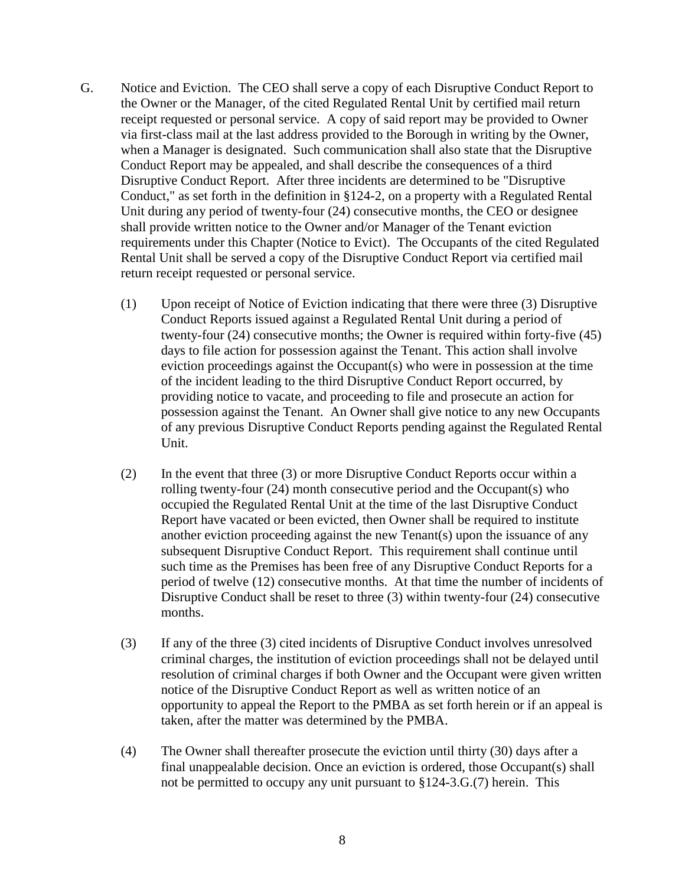- G. Notice and Eviction. The CEO shall serve a copy of each Disruptive Conduct Report to the Owner or the Manager, of the cited Regulated Rental Unit by certified mail return receipt requested or personal service. A copy of said report may be provided to Owner via first-class mail at the last address provided to the Borough in writing by the Owner, when a Manager is designated. Such communication shall also state that the Disruptive Conduct Report may be appealed, and shall describe the consequences of a third Disruptive Conduct Report. After three incidents are determined to be "Disruptive Conduct," as set forth in the definition in §124-2, on a property with a Regulated Rental Unit during any period of twenty-four (24) consecutive months, the CEO or designee shall provide written notice to the Owner and/or Manager of the Tenant eviction requirements under this Chapter (Notice to Evict). The Occupants of the cited Regulated Rental Unit shall be served a copy of the Disruptive Conduct Report via certified mail return receipt requested or personal service.
	- (1) Upon receipt of Notice of Eviction indicating that there were three (3) Disruptive Conduct Reports issued against a Regulated Rental Unit during a period of twenty-four (24) consecutive months; the Owner is required within forty-five (45) days to file action for possession against the Tenant. This action shall involve eviction proceedings against the Occupant(s) who were in possession at the time of the incident leading to the third Disruptive Conduct Report occurred, by providing notice to vacate, and proceeding to file and prosecute an action for possession against the Tenant. An Owner shall give notice to any new Occupants of any previous Disruptive Conduct Reports pending against the Regulated Rental Unit.
	- (2) In the event that three (3) or more Disruptive Conduct Reports occur within a rolling twenty-four (24) month consecutive period and the Occupant(s) who occupied the Regulated Rental Unit at the time of the last Disruptive Conduct Report have vacated or been evicted, then Owner shall be required to institute another eviction proceeding against the new Tenant(s) upon the issuance of any subsequent Disruptive Conduct Report. This requirement shall continue until such time as the Premises has been free of any Disruptive Conduct Reports for a period of twelve (12) consecutive months. At that time the number of incidents of Disruptive Conduct shall be reset to three (3) within twenty-four (24) consecutive months.
	- (3) If any of the three (3) cited incidents of Disruptive Conduct involves unresolved criminal charges, the institution of eviction proceedings shall not be delayed until resolution of criminal charges if both Owner and the Occupant were given written notice of the Disruptive Conduct Report as well as written notice of an opportunity to appeal the Report to the PMBA as set forth herein or if an appeal is taken, after the matter was determined by the PMBA.
	- (4) The Owner shall thereafter prosecute the eviction until thirty (30) days after a final unappealable decision. Once an eviction is ordered, those Occupant(s) shall not be permitted to occupy any unit pursuant to §124-3.G.(7) herein. This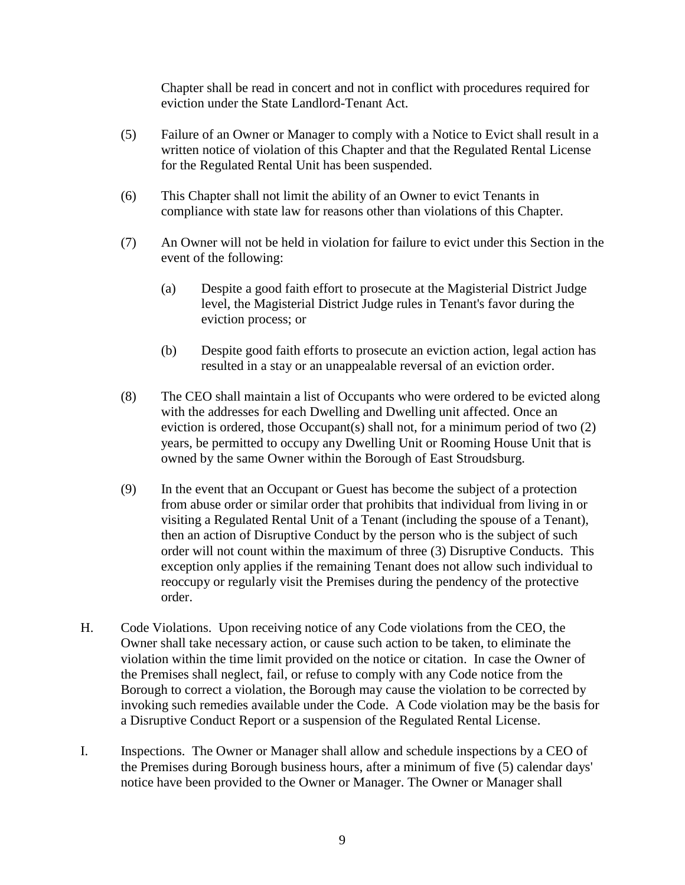Chapter shall be read in concert and not in conflict with procedures required for eviction under the State Landlord-Tenant Act.

- (5) Failure of an Owner or Manager to comply with a Notice to Evict shall result in a written notice of violation of this Chapter and that the Regulated Rental License for the Regulated Rental Unit has been suspended.
- (6) This Chapter shall not limit the ability of an Owner to evict Tenants in compliance with state law for reasons other than violations of this Chapter.
- (7) An Owner will not be held in violation for failure to evict under this Section in the event of the following:
	- (a) Despite a good faith effort to prosecute at the Magisterial District Judge level, the Magisterial District Judge rules in Tenant's favor during the eviction process; or
	- (b) Despite good faith efforts to prosecute an eviction action, legal action has resulted in a stay or an unappealable reversal of an eviction order.
- (8) The CEO shall maintain a list of Occupants who were ordered to be evicted along with the addresses for each Dwelling and Dwelling unit affected. Once an eviction is ordered, those Occupant(s) shall not, for a minimum period of two (2) years, be permitted to occupy any Dwelling Unit or Rooming House Unit that is owned by the same Owner within the Borough of East Stroudsburg.
- (9) In the event that an Occupant or Guest has become the subject of a protection from abuse order or similar order that prohibits that individual from living in or visiting a Regulated Rental Unit of a Tenant (including the spouse of a Tenant), then an action of Disruptive Conduct by the person who is the subject of such order will not count within the maximum of three (3) Disruptive Conducts. This exception only applies if the remaining Tenant does not allow such individual to reoccupy or regularly visit the Premises during the pendency of the protective order.
- H. Code Violations. Upon receiving notice of any Code violations from the CEO, the Owner shall take necessary action, or cause such action to be taken, to eliminate the violation within the time limit provided on the notice or citation. In case the Owner of the Premises shall neglect, fail, or refuse to comply with any Code notice from the Borough to correct a violation, the Borough may cause the violation to be corrected by invoking such remedies available under the Code. A Code violation may be the basis for a Disruptive Conduct Report or a suspension of the Regulated Rental License.
- I. Inspections. The Owner or Manager shall allow and schedule inspections by a CEO of the Premises during Borough business hours, after a minimum of five (5) calendar days' notice have been provided to the Owner or Manager. The Owner or Manager shall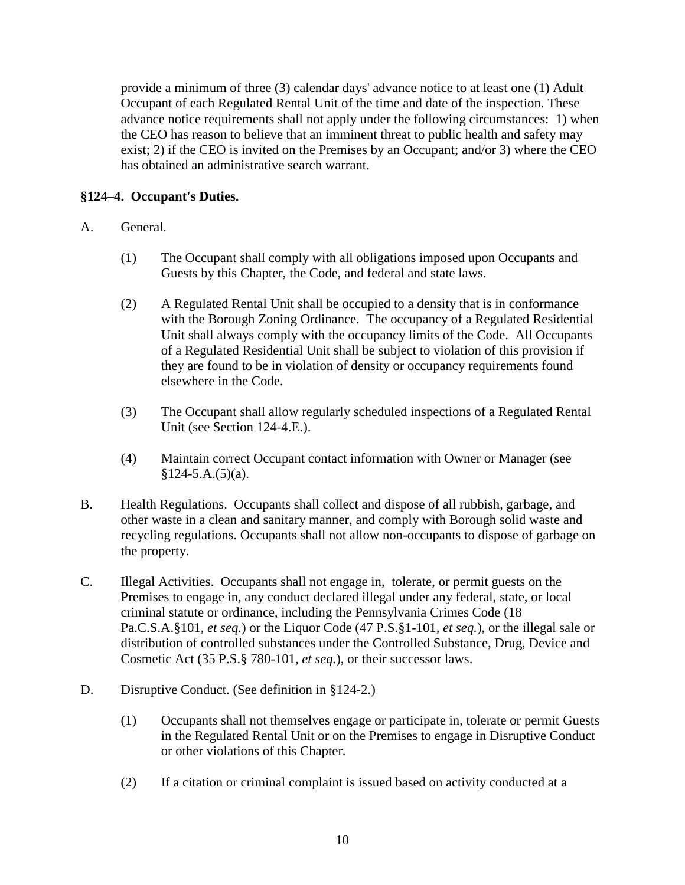provide a minimum of three (3) calendar days' advance notice to at least one (1) Adult Occupant of each Regulated Rental Unit of the time and date of the inspection. These advance notice requirements shall not apply under the following circumstances: 1) when the CEO has reason to believe that an imminent threat to public health and safety may exist; 2) if the CEO is invited on the Premises by an Occupant; and/or 3) where the CEO has obtained an administrative search warrant.

# **§124–4. Occupant's Duties.**

- A. General.
	- (1) The Occupant shall comply with all obligations imposed upon Occupants and Guests by this Chapter, the Code, and federal and state laws.
	- (2) A Regulated Rental Unit shall be occupied to a density that is in conformance with the Borough Zoning Ordinance. The occupancy of a Regulated Residential Unit shall always comply with the occupancy limits of the Code. All Occupants of a Regulated Residential Unit shall be subject to violation of this provision if they are found to be in violation of density or occupancy requirements found elsewhere in the Code.
	- (3) The Occupant shall allow regularly scheduled inspections of a Regulated Rental Unit (see Section 124-4.E.).
	- (4) Maintain correct Occupant contact information with Owner or Manager (see  $§124-5.A.(5)(a).$
- B. Health Regulations. Occupants shall collect and dispose of all rubbish, garbage, and other waste in a clean and sanitary manner, and comply with Borough solid waste and recycling regulations. Occupants shall not allow non-occupants to dispose of garbage on the property.
- C. Illegal Activities. Occupants shall not engage in, tolerate, or permit guests on the Premises to engage in, any conduct declared illegal under any federal, state, or local criminal statute or ordinance, including the Pennsylvania Crimes Code (18 Pa.C.S.A.§101, *et seq.*) or the Liquor Code (47 P.S.§1-101, *et seq.*), or the illegal sale or distribution of controlled substances under the Controlled Substance, Drug, Device and Cosmetic Act (35 P.S.§ 780-101, *et seq.*), or their successor laws.
- D. Disruptive Conduct. (See definition in §124-2.)
	- (1) Occupants shall not themselves engage or participate in, tolerate or permit Guests in the Regulated Rental Unit or on the Premises to engage in Disruptive Conduct or other violations of this Chapter.
	- (2) If a citation or criminal complaint is issued based on activity conducted at a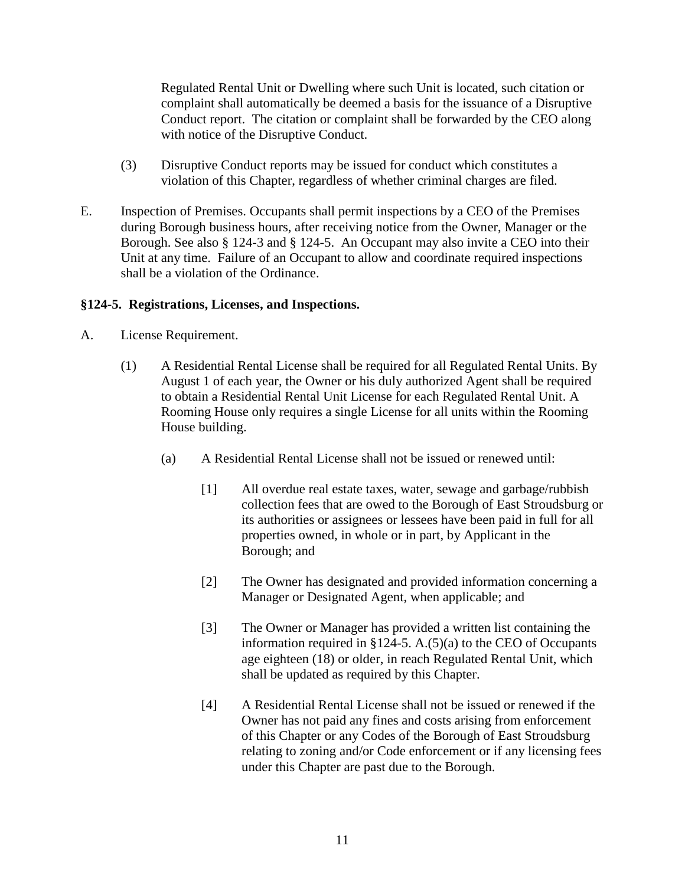Regulated Rental Unit or Dwelling where such Unit is located, such citation or complaint shall automatically be deemed a basis for the issuance of a Disruptive Conduct report. The citation or complaint shall be forwarded by the CEO along with notice of the Disruptive Conduct.

- (3) Disruptive Conduct reports may be issued for conduct which constitutes a violation of this Chapter, regardless of whether criminal charges are filed.
- E. Inspection of Premises. Occupants shall permit inspections by a CEO of the Premises during Borough business hours, after receiving notice from the Owner, Manager or the Borough. See also § 124-3 and § 124-5. An Occupant may also invite a CEO into their Unit at any time. Failure of an Occupant to allow and coordinate required inspections shall be a violation of the Ordinance.

# **§124-5. Registrations, Licenses, and Inspections.**

- A. License Requirement.
	- (1) A Residential Rental License shall be required for all Regulated Rental Units. By August 1 of each year, the Owner or his duly authorized Agent shall be required to obtain a Residential Rental Unit License for each Regulated Rental Unit. A Rooming House only requires a single License for all units within the Rooming House building.
		- (a) A Residential Rental License shall not be issued or renewed until:
			- [1] All overdue real estate taxes, water, sewage and garbage/rubbish collection fees that are owed to the Borough of East Stroudsburg or its authorities or assignees or lessees have been paid in full for all properties owned, in whole or in part, by Applicant in the Borough; and
			- [2] The Owner has designated and provided information concerning a Manager or Designated Agent, when applicable; and
			- [3] The Owner or Manager has provided a written list containing the information required in §124-5. A.(5)(a) to the CEO of Occupants age eighteen (18) or older, in reach Regulated Rental Unit, which shall be updated as required by this Chapter.
			- [4] A Residential Rental License shall not be issued or renewed if the Owner has not paid any fines and costs arising from enforcement of this Chapter or any Codes of the Borough of East Stroudsburg relating to zoning and/or Code enforcement or if any licensing fees under this Chapter are past due to the Borough.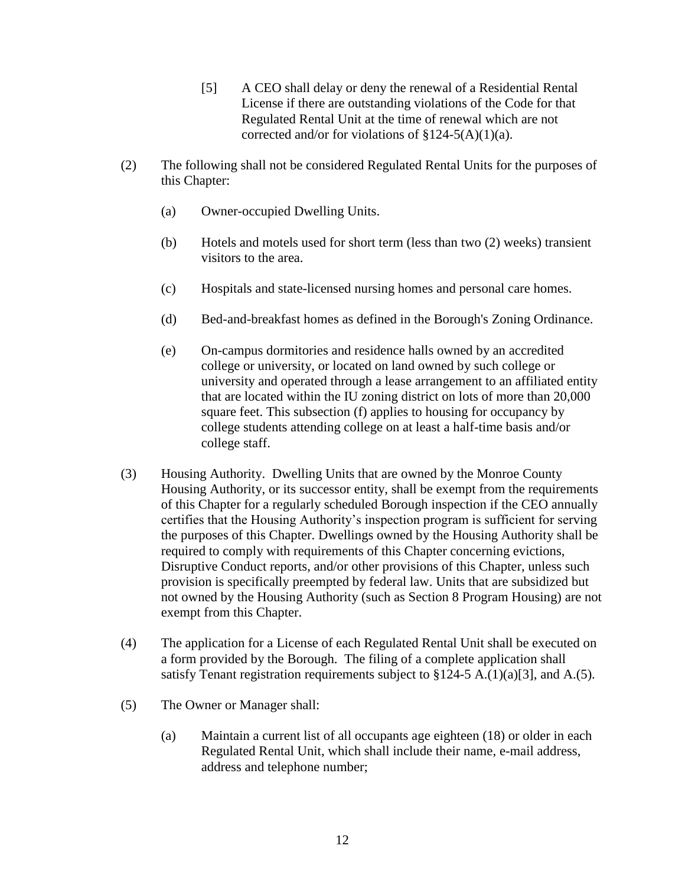- [5] A CEO shall delay or deny the renewal of a Residential Rental License if there are outstanding violations of the Code for that Regulated Rental Unit at the time of renewal which are not corrected and/or for violations of  $\S 124-5(A)(1)(a)$ .
- (2) The following shall not be considered Regulated Rental Units for the purposes of this Chapter:
	- (a) Owner-occupied Dwelling Units.
	- (b) Hotels and motels used for short term (less than two (2) weeks) transient visitors to the area.
	- (c) Hospitals and state-licensed nursing homes and personal care homes.
	- (d) Bed-and-breakfast homes as defined in the Borough's Zoning Ordinance.
	- (e) On-campus dormitories and residence halls owned by an accredited college or university, or located on land owned by such college or university and operated through a lease arrangement to an affiliated entity that are located within the IU zoning district on lots of more than 20,000 square feet. This subsection (f) applies to housing for occupancy by college students attending college on at least a half-time basis and/or college staff.
- (3) Housing Authority. Dwelling Units that are owned by the Monroe County Housing Authority, or its successor entity, shall be exempt from the requirements of this Chapter for a regularly scheduled Borough inspection if the CEO annually certifies that the Housing Authority's inspection program is sufficient for serving the purposes of this Chapter. Dwellings owned by the Housing Authority shall be required to comply with requirements of this Chapter concerning evictions, Disruptive Conduct reports, and/or other provisions of this Chapter, unless such provision is specifically preempted by federal law. Units that are subsidized but not owned by the Housing Authority (such as Section 8 Program Housing) are not exempt from this Chapter.
- (4) The application for a License of each Regulated Rental Unit shall be executed on a form provided by the Borough. The filing of a complete application shall satisfy Tenant registration requirements subject to  $$124-5$  A.(1)(a)[3], and A.(5).
- (5) The Owner or Manager shall:
	- (a) Maintain a current list of all occupants age eighteen (18) or older in each Regulated Rental Unit, which shall include their name, e-mail address, address and telephone number;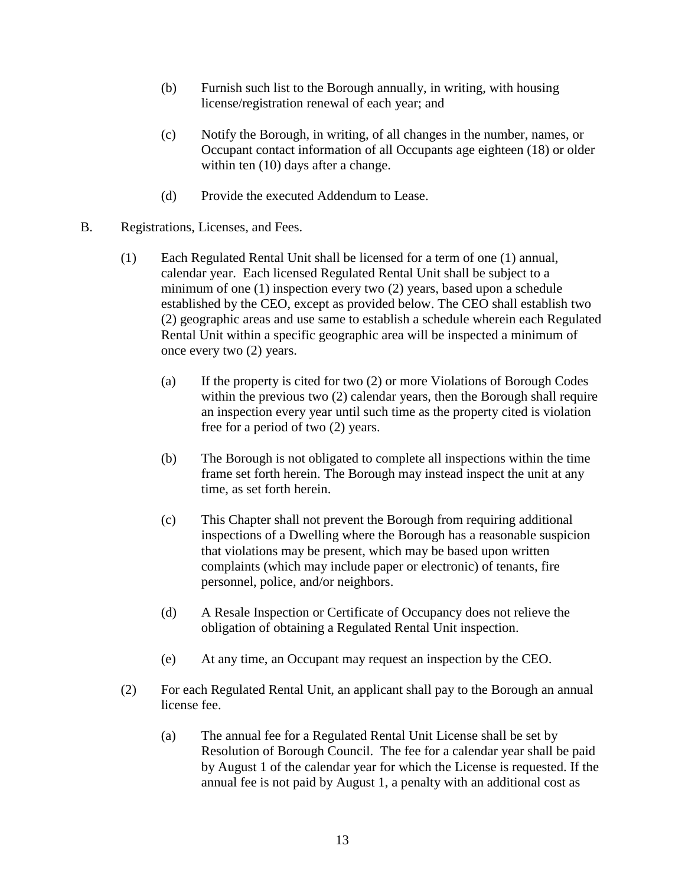- (b) Furnish such list to the Borough annually, in writing, with housing license/registration renewal of each year; and
- (c) Notify the Borough, in writing, of all changes in the number, names, or Occupant contact information of all Occupants age eighteen (18) or older within ten  $(10)$  days after a change.
- (d) Provide the executed Addendum to Lease.
- B. Registrations, Licenses, and Fees.
	- (1) Each Regulated Rental Unit shall be licensed for a term of one (1) annual, calendar year. Each licensed Regulated Rental Unit shall be subject to a minimum of one (1) inspection every two (2) years, based upon a schedule established by the CEO, except as provided below. The CEO shall establish two (2) geographic areas and use same to establish a schedule wherein each Regulated Rental Unit within a specific geographic area will be inspected a minimum of once every two (2) years.
		- (a) If the property is cited for two (2) or more Violations of Borough Codes within the previous two (2) calendar years, then the Borough shall require an inspection every year until such time as the property cited is violation free for a period of two (2) years.
		- (b) The Borough is not obligated to complete all inspections within the time frame set forth herein. The Borough may instead inspect the unit at any time, as set forth herein.
		- (c) This Chapter shall not prevent the Borough from requiring additional inspections of a Dwelling where the Borough has a reasonable suspicion that violations may be present, which may be based upon written complaints (which may include paper or electronic) of tenants, fire personnel, police, and/or neighbors.
		- (d) A Resale Inspection or Certificate of Occupancy does not relieve the obligation of obtaining a Regulated Rental Unit inspection.
		- (e) At any time, an Occupant may request an inspection by the CEO.
	- (2) For each Regulated Rental Unit, an applicant shall pay to the Borough an annual license fee.
		- (a) The annual fee for a Regulated Rental Unit License shall be set by Resolution of Borough Council. The fee for a calendar year shall be paid by August 1 of the calendar year for which the License is requested. If the annual fee is not paid by August 1, a penalty with an additional cost as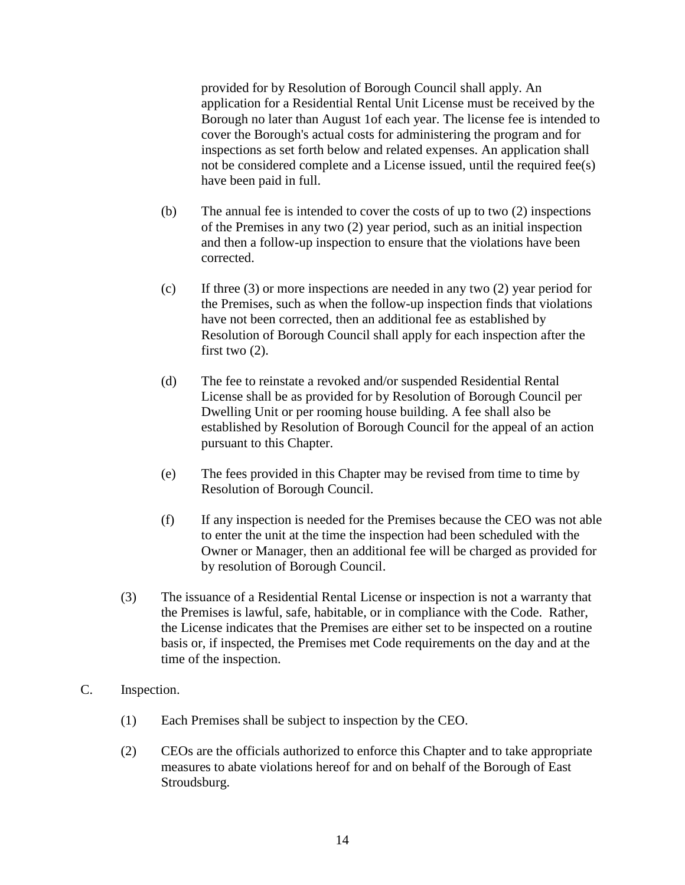provided for by Resolution of Borough Council shall apply. An application for a Residential Rental Unit License must be received by the Borough no later than August 1of each year. The license fee is intended to cover the Borough's actual costs for administering the program and for inspections as set forth below and related expenses. An application shall not be considered complete and a License issued, until the required fee(s) have been paid in full.

- (b) The annual fee is intended to cover the costs of up to two (2) inspections of the Premises in any two (2) year period, such as an initial inspection and then a follow-up inspection to ensure that the violations have been corrected.
- (c) If three (3) or more inspections are needed in any two (2) year period for the Premises, such as when the follow-up inspection finds that violations have not been corrected, then an additional fee as established by Resolution of Borough Council shall apply for each inspection after the first two (2).
- (d) The fee to reinstate a revoked and/or suspended Residential Rental License shall be as provided for by Resolution of Borough Council per Dwelling Unit or per rooming house building. A fee shall also be established by Resolution of Borough Council for the appeal of an action pursuant to this Chapter.
- (e) The fees provided in this Chapter may be revised from time to time by Resolution of Borough Council.
- (f) If any inspection is needed for the Premises because the CEO was not able to enter the unit at the time the inspection had been scheduled with the Owner or Manager, then an additional fee will be charged as provided for by resolution of Borough Council.
- (3) The issuance of a Residential Rental License or inspection is not a warranty that the Premises is lawful, safe, habitable, or in compliance with the Code. Rather, the License indicates that the Premises are either set to be inspected on a routine basis or, if inspected, the Premises met Code requirements on the day and at the time of the inspection.
- C. Inspection.
	- (1) Each Premises shall be subject to inspection by the CEO.
	- (2) CEOs are the officials authorized to enforce this Chapter and to take appropriate measures to abate violations hereof for and on behalf of the Borough of East Stroudsburg.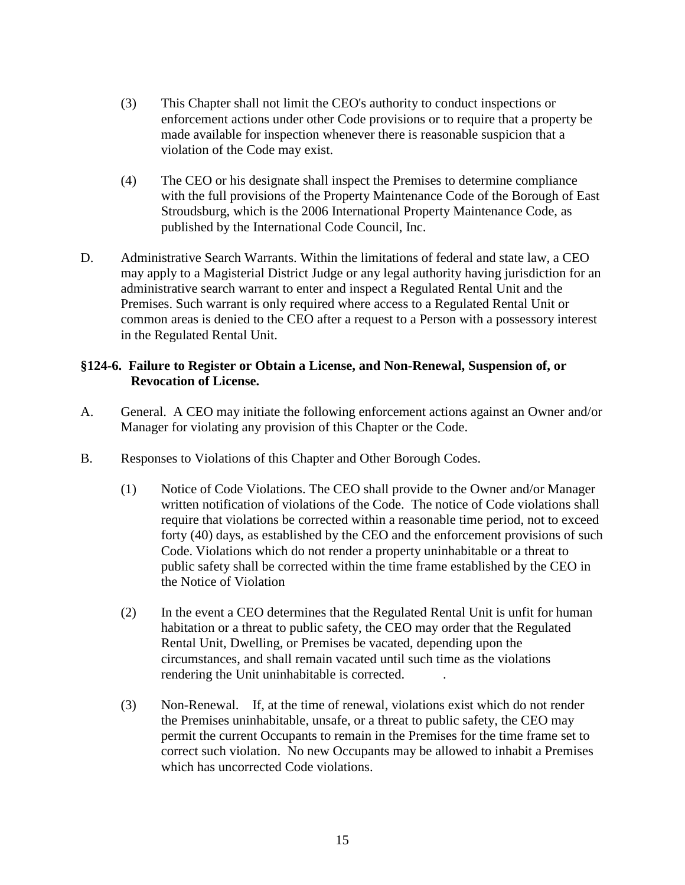- (3) This Chapter shall not limit the CEO's authority to conduct inspections or enforcement actions under other Code provisions or to require that a property be made available for inspection whenever there is reasonable suspicion that a violation of the Code may exist.
- (4) The CEO or his designate shall inspect the Premises to determine compliance with the full provisions of the Property Maintenance Code of the Borough of East Stroudsburg, which is the 2006 International Property Maintenance Code, as published by the International Code Council, Inc.
- D. Administrative Search Warrants. Within the limitations of federal and state law, a CEO may apply to a Magisterial District Judge or any legal authority having jurisdiction for an administrative search warrant to enter and inspect a Regulated Rental Unit and the Premises. Such warrant is only required where access to a Regulated Rental Unit or common areas is denied to the CEO after a request to a Person with a possessory interest in the Regulated Rental Unit.

# **§124-6. Failure to Register or Obtain a License, and Non-Renewal, Suspension of, or Revocation of License.**

- A. General. A CEO may initiate the following enforcement actions against an Owner and/or Manager for violating any provision of this Chapter or the Code.
- B. Responses to Violations of this Chapter and Other Borough Codes.
	- (1) Notice of Code Violations. The CEO shall provide to the Owner and/or Manager written notification of violations of the Code. The notice of Code violations shall require that violations be corrected within a reasonable time period, not to exceed forty (40) days, as established by the CEO and the enforcement provisions of such Code. Violations which do not render a property uninhabitable or a threat to public safety shall be corrected within the time frame established by the CEO in the Notice of Violation
	- (2) In the event a CEO determines that the Regulated Rental Unit is unfit for human habitation or a threat to public safety, the CEO may order that the Regulated Rental Unit, Dwelling, or Premises be vacated, depending upon the circumstances, and shall remain vacated until such time as the violations rendering the Unit uninhabitable is corrected. .
	- (3) Non-Renewal. If, at the time of renewal, violations exist which do not render the Premises uninhabitable, unsafe, or a threat to public safety, the CEO may permit the current Occupants to remain in the Premises for the time frame set to correct such violation. No new Occupants may be allowed to inhabit a Premises which has uncorrected Code violations.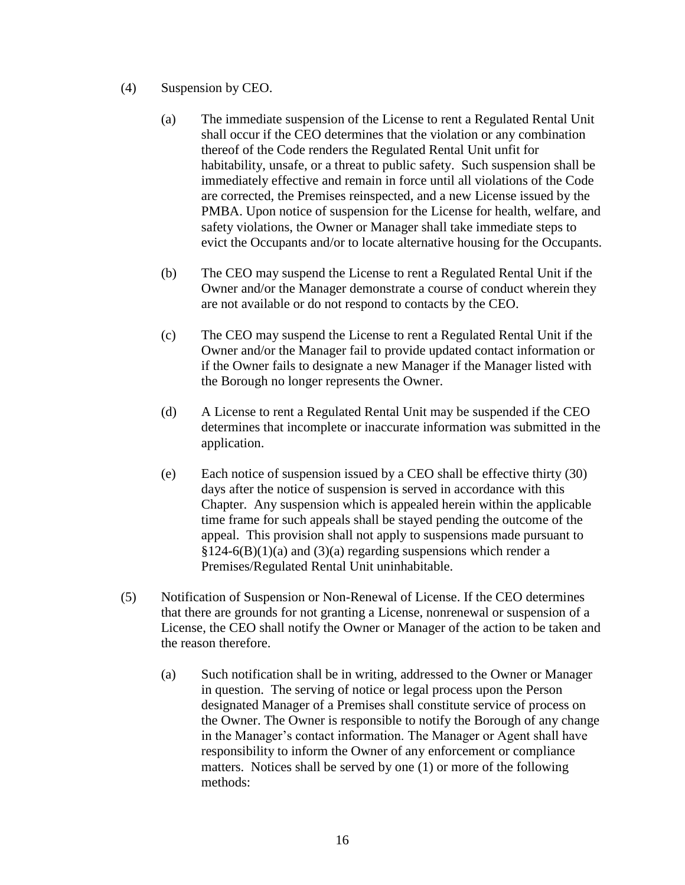- (4) Suspension by CEO.
	- (a) The immediate suspension of the License to rent a Regulated Rental Unit shall occur if the CEO determines that the violation or any combination thereof of the Code renders the Regulated Rental Unit unfit for habitability, unsafe, or a threat to public safety. Such suspension shall be immediately effective and remain in force until all violations of the Code are corrected, the Premises reinspected, and a new License issued by the PMBA. Upon notice of suspension for the License for health, welfare, and safety violations, the Owner or Manager shall take immediate steps to evict the Occupants and/or to locate alternative housing for the Occupants.
	- (b) The CEO may suspend the License to rent a Regulated Rental Unit if the Owner and/or the Manager demonstrate a course of conduct wherein they are not available or do not respond to contacts by the CEO.
	- (c) The CEO may suspend the License to rent a Regulated Rental Unit if the Owner and/or the Manager fail to provide updated contact information or if the Owner fails to designate a new Manager if the Manager listed with the Borough no longer represents the Owner.
	- (d) A License to rent a Regulated Rental Unit may be suspended if the CEO determines that incomplete or inaccurate information was submitted in the application.
	- (e) Each notice of suspension issued by a CEO shall be effective thirty (30) days after the notice of suspension is served in accordance with this Chapter. Any suspension which is appealed herein within the applicable time frame for such appeals shall be stayed pending the outcome of the appeal. This provision shall not apply to suspensions made pursuant to  $§124-6(B)(1)(a)$  and  $(3)(a)$  regarding suspensions which render a Premises/Regulated Rental Unit uninhabitable.
- (5) Notification of Suspension or Non-Renewal of License. If the CEO determines that there are grounds for not granting a License, nonrenewal or suspension of a License, the CEO shall notify the Owner or Manager of the action to be taken and the reason therefore.
	- (a) Such notification shall be in writing, addressed to the Owner or Manager in question. The serving of notice or legal process upon the Person designated Manager of a Premises shall constitute service of process on the Owner. The Owner is responsible to notify the Borough of any change in the Manager's contact information. The Manager or Agent shall have responsibility to inform the Owner of any enforcement or compliance matters. Notices shall be served by one (1) or more of the following methods: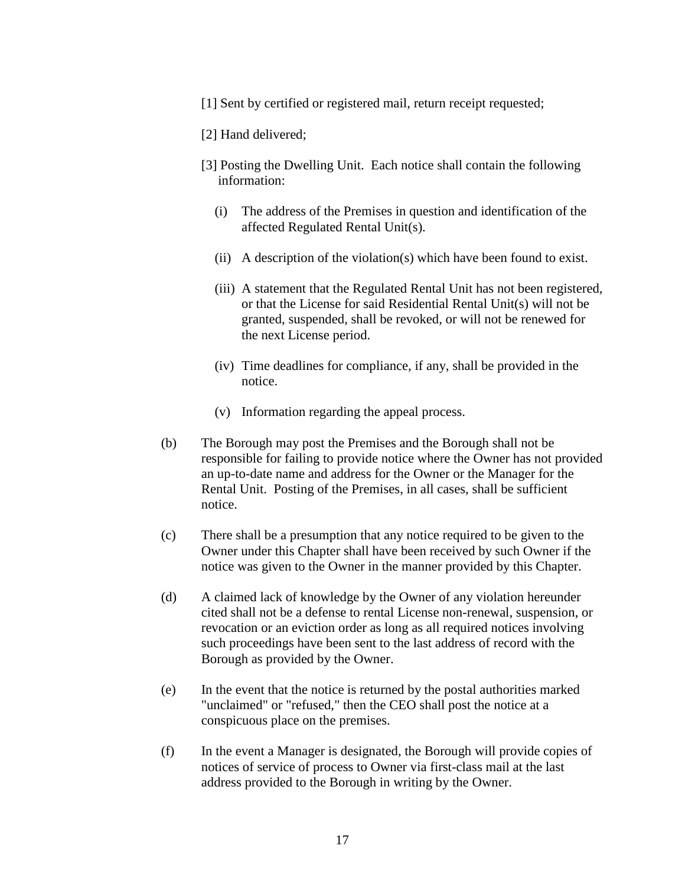- [1] Sent by certified or registered mail, return receipt requested;
- [2] Hand delivered;
- [3] Posting the Dwelling Unit. Each notice shall contain the following information:
	- (i) The address of the Premises in question and identification of the affected Regulated Rental Unit(s).
	- (ii) A description of the violation(s) which have been found to exist.
	- (iii) A statement that the Regulated Rental Unit has not been registered, or that the License for said Residential Rental Unit(s) will not be granted, suspended, shall be revoked, or will not be renewed for the next License period.
	- (iv) Time deadlines for compliance, if any, shall be provided in the notice.
	- (v) Information regarding the appeal process.
- (b) The Borough may post the Premises and the Borough shall not be responsible for failing to provide notice where the Owner has not provided an up-to-date name and address for the Owner or the Manager for the Rental Unit. Posting of the Premises, in all cases, shall be sufficient notice.
- (c) There shall be a presumption that any notice required to be given to the Owner under this Chapter shall have been received by such Owner if the notice was given to the Owner in the manner provided by this Chapter.
- (d) A claimed lack of knowledge by the Owner of any violation hereunder cited shall not be a defense to rental License non-renewal, suspension, or revocation or an eviction order as long as all required notices involving such proceedings have been sent to the last address of record with the Borough as provided by the Owner.
- (e) In the event that the notice is returned by the postal authorities marked "unclaimed" or "refused," then the CEO shall post the notice at a conspicuous place on the premises.
- (f) In the event a Manager is designated, the Borough will provide copies of notices of service of process to Owner via first-class mail at the last address provided to the Borough in writing by the Owner.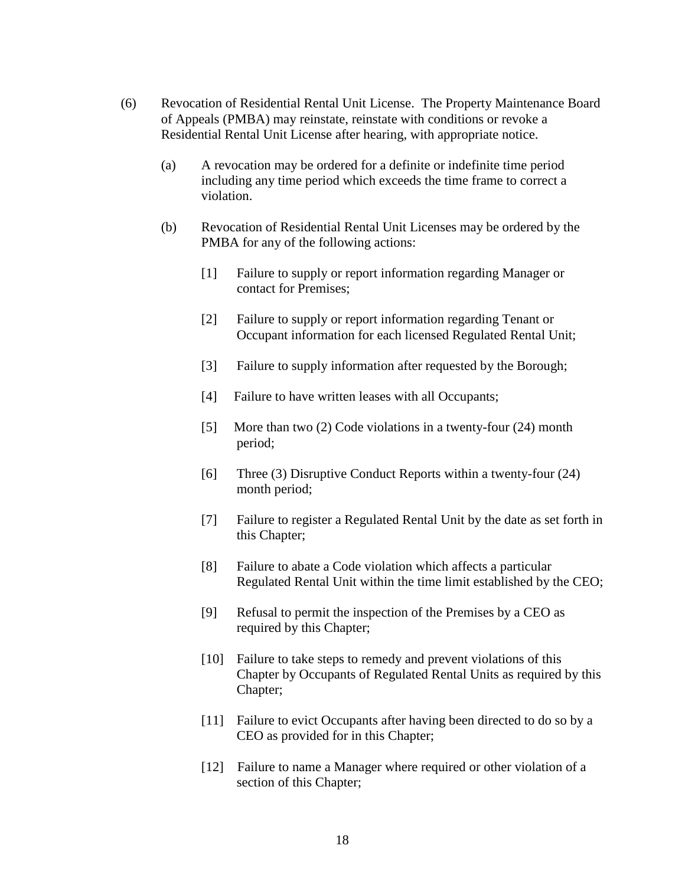- (6) Revocation of Residential Rental Unit License. The Property Maintenance Board of Appeals (PMBA) may reinstate, reinstate with conditions or revoke a Residential Rental Unit License after hearing, with appropriate notice.
	- (a) A revocation may be ordered for a definite or indefinite time period including any time period which exceeds the time frame to correct a violation.
	- (b) Revocation of Residential Rental Unit Licenses may be ordered by the PMBA for any of the following actions:
		- [1] Failure to supply or report information regarding Manager or contact for Premises;
		- [2] Failure to supply or report information regarding Tenant or Occupant information for each licensed Regulated Rental Unit;
		- [3] Failure to supply information after requested by the Borough;
		- [4] Failure to have written leases with all Occupants;
		- [5] More than two (2) Code violations in a twenty-four (24) month period;
		- [6] Three (3) Disruptive Conduct Reports within a twenty-four (24) month period;
		- [7] Failure to register a Regulated Rental Unit by the date as set forth in this Chapter;
		- [8] Failure to abate a Code violation which affects a particular Regulated Rental Unit within the time limit established by the CEO;
		- [9] Refusal to permit the inspection of the Premises by a CEO as required by this Chapter;
		- [10] Failure to take steps to remedy and prevent violations of this Chapter by Occupants of Regulated Rental Units as required by this Chapter;
		- [11] Failure to evict Occupants after having been directed to do so by a CEO as provided for in this Chapter;
		- [12] Failure to name a Manager where required or other violation of a section of this Chapter;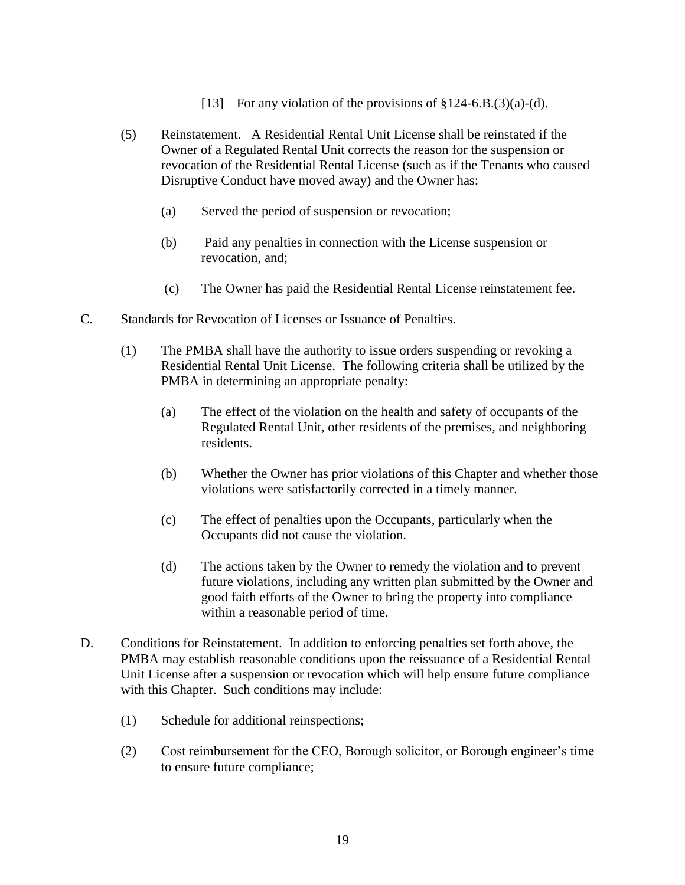- [13] For any violation of the provisions of  $$124-6.B.(3)(a)-(d)$ .
- (5) Reinstatement. A Residential Rental Unit License shall be reinstated if the Owner of a Regulated Rental Unit corrects the reason for the suspension or revocation of the Residential Rental License (such as if the Tenants who caused Disruptive Conduct have moved away) and the Owner has:
	- (a) Served the period of suspension or revocation;
	- (b) Paid any penalties in connection with the License suspension or revocation, and;
	- (c) The Owner has paid the Residential Rental License reinstatement fee.
- C. Standards for Revocation of Licenses or Issuance of Penalties.
	- (1) The PMBA shall have the authority to issue orders suspending or revoking a Residential Rental Unit License. The following criteria shall be utilized by the PMBA in determining an appropriate penalty:
		- (a) The effect of the violation on the health and safety of occupants of the Regulated Rental Unit, other residents of the premises, and neighboring residents.
		- (b) Whether the Owner has prior violations of this Chapter and whether those violations were satisfactorily corrected in a timely manner.
		- (c) The effect of penalties upon the Occupants, particularly when the Occupants did not cause the violation.
		- (d) The actions taken by the Owner to remedy the violation and to prevent future violations, including any written plan submitted by the Owner and good faith efforts of the Owner to bring the property into compliance within a reasonable period of time.
- D. Conditions for Reinstatement. In addition to enforcing penalties set forth above, the PMBA may establish reasonable conditions upon the reissuance of a Residential Rental Unit License after a suspension or revocation which will help ensure future compliance with this Chapter. Such conditions may include:
	- (1) Schedule for additional reinspections;
	- (2) Cost reimbursement for the CEO, Borough solicitor, or Borough engineer's time to ensure future compliance;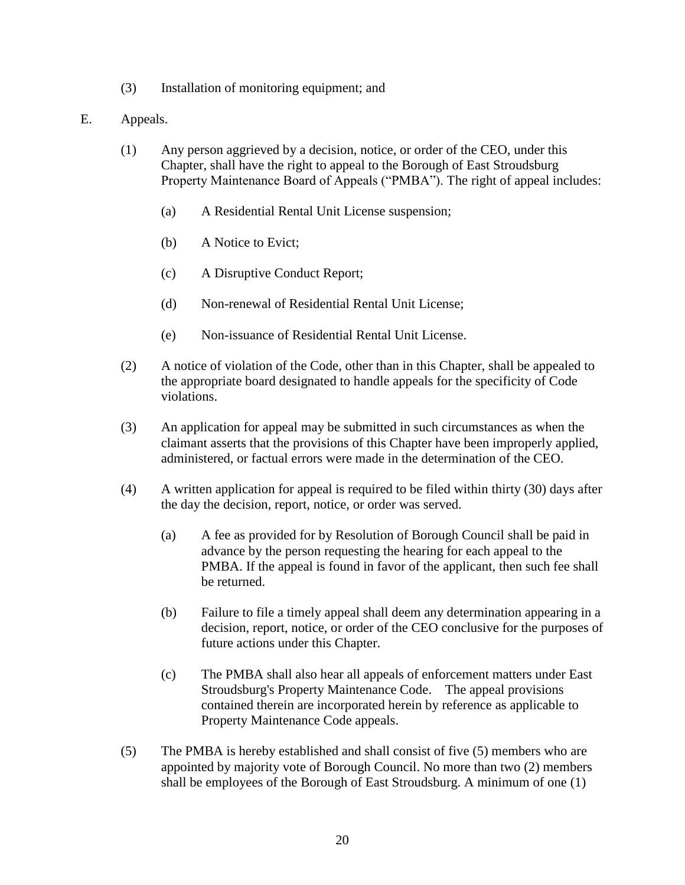- (3) Installation of monitoring equipment; and
- E. Appeals.
	- (1) Any person aggrieved by a decision, notice, or order of the CEO, under this Chapter, shall have the right to appeal to the Borough of East Stroudsburg Property Maintenance Board of Appeals ("PMBA"). The right of appeal includes:
		- (a) A Residential Rental Unit License suspension;
		- (b) A Notice to Evict;
		- (c) A Disruptive Conduct Report;
		- (d) Non-renewal of Residential Rental Unit License;
		- (e) Non-issuance of Residential Rental Unit License.
	- (2) A notice of violation of the Code, other than in this Chapter, shall be appealed to the appropriate board designated to handle appeals for the specificity of Code violations.
	- (3) An application for appeal may be submitted in such circumstances as when the claimant asserts that the provisions of this Chapter have been improperly applied, administered, or factual errors were made in the determination of the CEO.
	- (4) A written application for appeal is required to be filed within thirty (30) days after the day the decision, report, notice, or order was served.
		- (a) A fee as provided for by Resolution of Borough Council shall be paid in advance by the person requesting the hearing for each appeal to the PMBA. If the appeal is found in favor of the applicant, then such fee shall be returned.
		- (b) Failure to file a timely appeal shall deem any determination appearing in a decision, report, notice, or order of the CEO conclusive for the purposes of future actions under this Chapter.
		- (c) The PMBA shall also hear all appeals of enforcement matters under East Stroudsburg's Property Maintenance Code. The appeal provisions contained therein are incorporated herein by reference as applicable to Property Maintenance Code appeals.
	- (5) The PMBA is hereby established and shall consist of five (5) members who are appointed by majority vote of Borough Council. No more than two (2) members shall be employees of the Borough of East Stroudsburg. A minimum of one (1)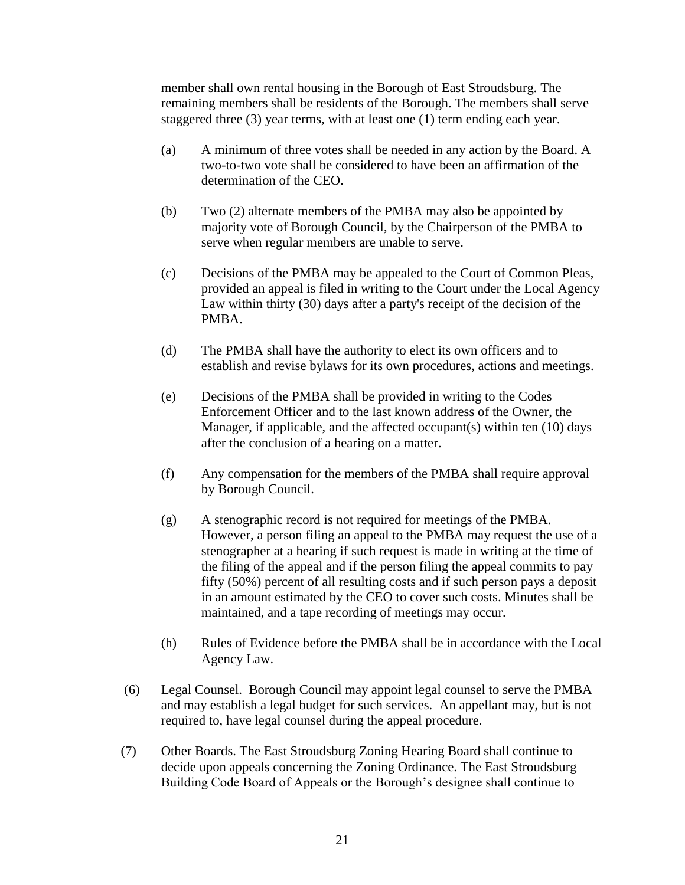member shall own rental housing in the Borough of East Stroudsburg. The remaining members shall be residents of the Borough. The members shall serve staggered three (3) year terms, with at least one (1) term ending each year.

- (a) A minimum of three votes shall be needed in any action by the Board. A two-to-two vote shall be considered to have been an affirmation of the determination of the CEO.
- (b) Two (2) alternate members of the PMBA may also be appointed by majority vote of Borough Council, by the Chairperson of the PMBA to serve when regular members are unable to serve.
- (c) Decisions of the PMBA may be appealed to the Court of Common Pleas, provided an appeal is filed in writing to the Court under the Local Agency Law within thirty (30) days after a party's receipt of the decision of the PMBA.
- (d) The PMBA shall have the authority to elect its own officers and to establish and revise bylaws for its own procedures, actions and meetings.
- (e) Decisions of the PMBA shall be provided in writing to the Codes Enforcement Officer and to the last known address of the Owner, the Manager, if applicable, and the affected occupant(s) within ten (10) days after the conclusion of a hearing on a matter.
- (f) Any compensation for the members of the PMBA shall require approval by Borough Council.
- (g) A stenographic record is not required for meetings of the PMBA. However, a person filing an appeal to the PMBA may request the use of a stenographer at a hearing if such request is made in writing at the time of the filing of the appeal and if the person filing the appeal commits to pay fifty (50%) percent of all resulting costs and if such person pays a deposit in an amount estimated by the CEO to cover such costs. Minutes shall be maintained, and a tape recording of meetings may occur.
- (h) Rules of Evidence before the PMBA shall be in accordance with the Local Agency Law.
- (6) Legal Counsel. Borough Council may appoint legal counsel to serve the PMBA and may establish a legal budget for such services. An appellant may, but is not required to, have legal counsel during the appeal procedure.
- (7) Other Boards. The East Stroudsburg Zoning Hearing Board shall continue to decide upon appeals concerning the Zoning Ordinance. The East Stroudsburg Building Code Board of Appeals or the Borough's designee shall continue to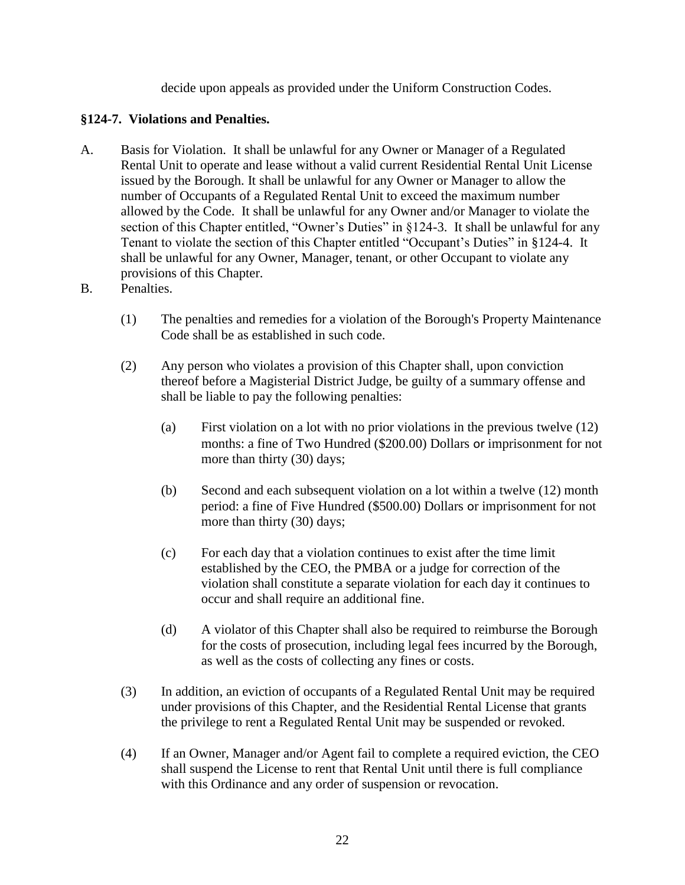decide upon appeals as provided under the Uniform Construction Codes.

# **§124-7. Violations and Penalties.**

- A. Basis for Violation. It shall be unlawful for any Owner or Manager of a Regulated Rental Unit to operate and lease without a valid current Residential Rental Unit License issued by the Borough. It shall be unlawful for any Owner or Manager to allow the number of Occupants of a Regulated Rental Unit to exceed the maximum number allowed by the Code. It shall be unlawful for any Owner and/or Manager to violate the section of this Chapter entitled, "Owner's Duties" in §124-3. It shall be unlawful for any Tenant to violate the section of this Chapter entitled "Occupant's Duties" in §124-4. It shall be unlawful for any Owner, Manager, tenant, or other Occupant to violate any provisions of this Chapter.
- B. Penalties.
	- (1) The penalties and remedies for a violation of the Borough's Property Maintenance Code shall be as established in such code.
	- (2) Any person who violates a provision of this Chapter shall, upon conviction thereof before a Magisterial District Judge, be guilty of a summary offense and shall be liable to pay the following penalties:
		- (a) First violation on a lot with no prior violations in the previous twelve (12) months: a fine of Two Hundred (\$200.00) Dollars or imprisonment for not more than thirty (30) days;
		- (b) Second and each subsequent violation on a lot within a twelve (12) month period: a fine of Five Hundred (\$500.00) Dollars or imprisonment for not more than thirty (30) days;
		- (c) For each day that a violation continues to exist after the time limit established by the CEO, the PMBA or a judge for correction of the violation shall constitute a separate violation for each day it continues to occur and shall require an additional fine.
		- (d) A violator of this Chapter shall also be required to reimburse the Borough for the costs of prosecution, including legal fees incurred by the Borough, as well as the costs of collecting any fines or costs.
	- (3) In addition, an eviction of occupants of a Regulated Rental Unit may be required under provisions of this Chapter, and the Residential Rental License that grants the privilege to rent a Regulated Rental Unit may be suspended or revoked.
	- (4) If an Owner, Manager and/or Agent fail to complete a required eviction, the CEO shall suspend the License to rent that Rental Unit until there is full compliance with this Ordinance and any order of suspension or revocation.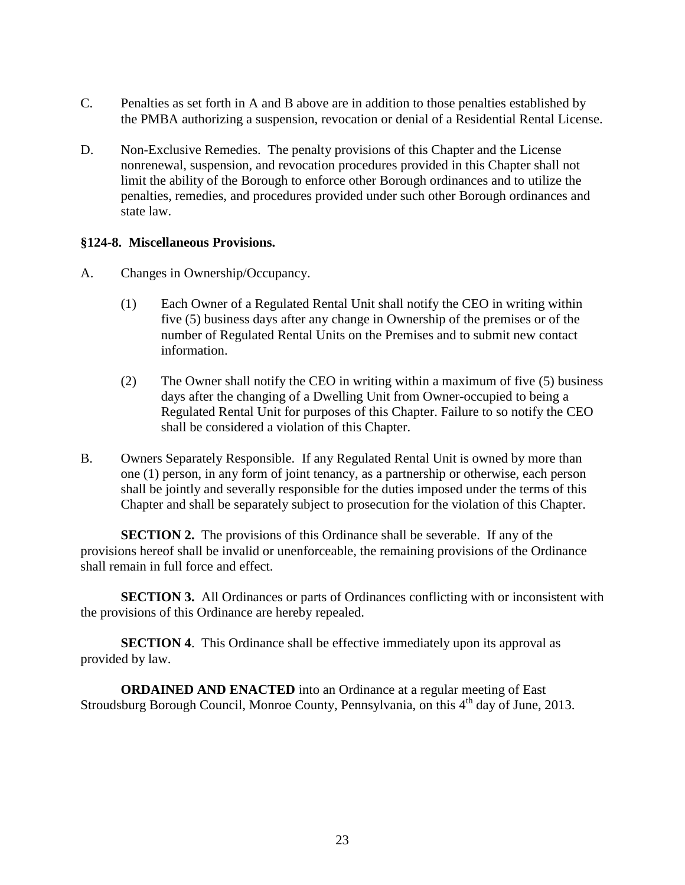- C. Penalties as set forth in A and B above are in addition to those penalties established by the PMBA authorizing a suspension, revocation or denial of a Residential Rental License.
- D. Non-Exclusive Remedies. The penalty provisions of this Chapter and the License nonrenewal, suspension, and revocation procedures provided in this Chapter shall not limit the ability of the Borough to enforce other Borough ordinances and to utilize the penalties, remedies, and procedures provided under such other Borough ordinances and state law.

#### **§124-8. Miscellaneous Provisions.**

- A. Changes in Ownership/Occupancy.
	- (1) Each Owner of a Regulated Rental Unit shall notify the CEO in writing within five (5) business days after any change in Ownership of the premises or of the number of Regulated Rental Units on the Premises and to submit new contact information.
	- (2) The Owner shall notify the CEO in writing within a maximum of five (5) business days after the changing of a Dwelling Unit from Owner-occupied to being a Regulated Rental Unit for purposes of this Chapter. Failure to so notify the CEO shall be considered a violation of this Chapter.
- B. Owners Separately Responsible. If any Regulated Rental Unit is owned by more than one (1) person, in any form of joint tenancy, as a partnership or otherwise, each person shall be jointly and severally responsible for the duties imposed under the terms of this Chapter and shall be separately subject to prosecution for the violation of this Chapter.

**SECTION 2.** The provisions of this Ordinance shall be severable. If any of the provisions hereof shall be invalid or unenforceable, the remaining provisions of the Ordinance shall remain in full force and effect.

**SECTION 3.** All Ordinances or parts of Ordinances conflicting with or inconsistent with the provisions of this Ordinance are hereby repealed.

**SECTION 4.** This Ordinance shall be effective immediately upon its approval as provided by law.

**ORDAINED AND ENACTED** into an Ordinance at a regular meeting of East Stroudsburg Borough Council, Monroe County, Pennsylvania, on this 4<sup>th</sup> day of June, 2013.